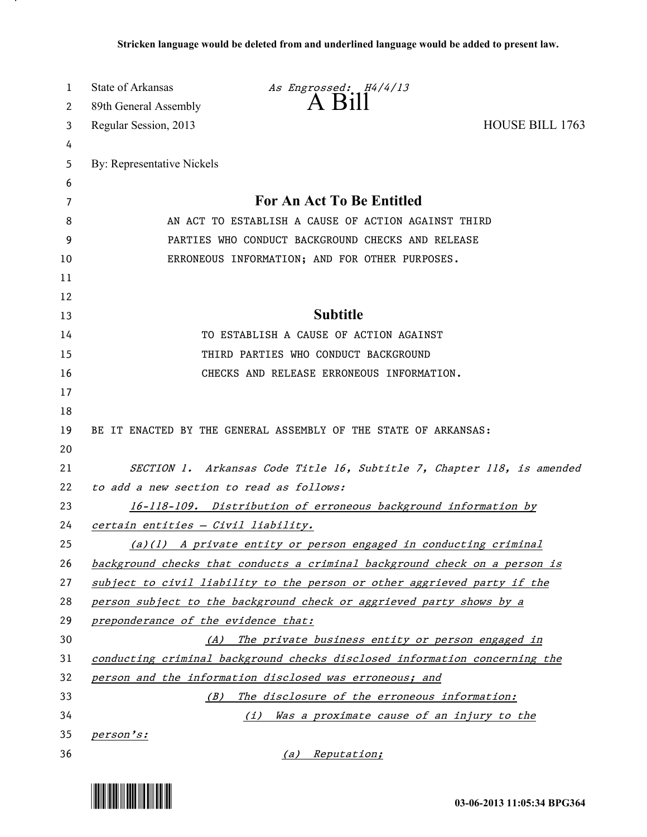| 1  | State of Arkansas                                               | As Engrossed: H4/4/13                                                      |                        |
|----|-----------------------------------------------------------------|----------------------------------------------------------------------------|------------------------|
| 2  | 89th General Assembly                                           | $A$ $B111$                                                                 |                        |
| 3  | Regular Session, 2013                                           |                                                                            | <b>HOUSE BILL 1763</b> |
| 4  |                                                                 |                                                                            |                        |
| 5  | By: Representative Nickels                                      |                                                                            |                        |
| 6  |                                                                 |                                                                            |                        |
| 7  | For An Act To Be Entitled                                       |                                                                            |                        |
| 8  | AN ACT TO ESTABLISH A CAUSE OF ACTION AGAINST THIRD             |                                                                            |                        |
| 9  | PARTIES WHO CONDUCT BACKGROUND CHECKS AND RELEASE               |                                                                            |                        |
| 10 |                                                                 | ERRONEOUS INFORMATION; AND FOR OTHER PURPOSES.                             |                        |
| 11 |                                                                 |                                                                            |                        |
| 12 |                                                                 |                                                                            |                        |
| 13 |                                                                 | <b>Subtitle</b>                                                            |                        |
| 14 |                                                                 | TO ESTABLISH A CAUSE OF ACTION AGAINST                                     |                        |
| 15 |                                                                 | THIRD PARTIES WHO CONDUCT BACKGROUND                                       |                        |
| 16 |                                                                 | CHECKS AND RELEASE ERRONEOUS INFORMATION.                                  |                        |
| 17 |                                                                 |                                                                            |                        |
| 18 |                                                                 |                                                                            |                        |
| 19 |                                                                 | BE IT ENACTED BY THE GENERAL ASSEMBLY OF THE STATE OF ARKANSAS:            |                        |
| 20 |                                                                 |                                                                            |                        |
| 21 |                                                                 | SECTION 1. Arkansas Code Title 16, Subtitle 7, Chapter 118, is amended     |                        |
| 22 | to add a new section to read as follows:                        |                                                                            |                        |
| 23 | 16-118-109. Distribution of erroneous background information by |                                                                            |                        |
| 24 | certain entities - Civil liability.                             |                                                                            |                        |
| 25 |                                                                 | (a)(1) A private entity or person engaged in conducting criminal           |                        |
| 26 |                                                                 | background checks that conducts a criminal background check on a person is |                        |
| 27 |                                                                 | subject to civil liability to the person or other aggrieved party if the   |                        |
| 28 |                                                                 | person subject to the background check or aggrieved party shows by a       |                        |
| 29 | preponderance of the evidence that:                             |                                                                            |                        |
| 30 |                                                                 | (A) The private business entity or person engaged in                       |                        |
| 31 |                                                                 | conducting criminal background checks disclosed information concerning the |                        |
| 32 |                                                                 | person and the information disclosed was erroneous; and                    |                        |
| 33 |                                                                 | (B) The disclosure of the erroneous information:                           |                        |
| 34 |                                                                 | Was a proximate cause of an injury to the<br>(i)                           |                        |
| 35 | person's:                                                       |                                                                            |                        |
| 36 |                                                                 | (a) Reputation;                                                            |                        |



<u>. на п</u>